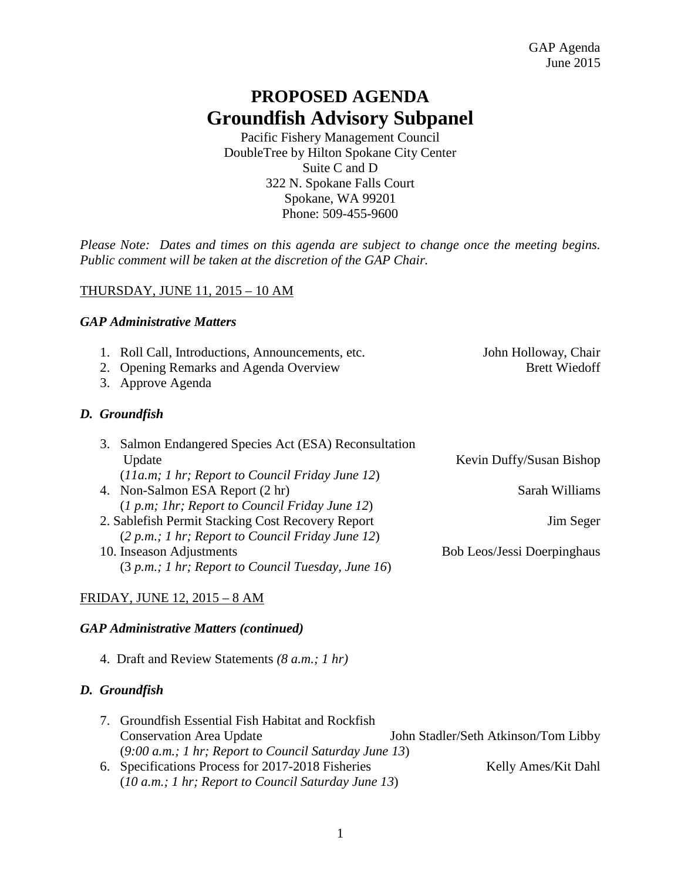# **PROPOSED AGENDA Groundfish Advisory Subpanel**

Pacific Fishery Management Council DoubleTree by Hilton Spokane City Center Suite C and D 322 N. Spokane Falls Court Spokane, WA 99201 Phone: 509-455-9600

*Please Note: Dates and times on this agenda are subject to change once the meeting begins. Public comment will be taken at the discretion of the GAP Chair.* 

# THURSDAY, JUNE 11, 2015 – 10 AM

# *GAP Administrative Matters*

- 1. Roll Call, Introductions, Announcements, etc. John Holloway, Chair
- 2. Opening Remarks and Agenda Overview Brett Wiedoff
- 3. Approve Agenda

# *D. Groundfish*

| 3. Salmon Endangered Species Act (ESA) Reconsultation |                                    |
|-------------------------------------------------------|------------------------------------|
| Update                                                | Kevin Duffy/Susan Bishop           |
| $(11a.m; 1 hr; Report to Council Friday June 12)$     |                                    |
| 4. Non-Salmon ESA Report (2 hr)                       | Sarah Williams                     |
| $(1 p.m; 1 hr; Report to Council Friday June 12)$     |                                    |
| 2. Sablefish Permit Stacking Cost Recovery Report     | Jim Seger                          |
| (2 p.m.; 1 hr; Report to Council Friday June 12)      |                                    |
| 10. Inseason Adjustments                              | <b>Bob Leos/Jessi Doerpinghaus</b> |
| $(3 p.m.; 1 hr; Report to Council Tuesday, June 16)$  |                                    |
|                                                       |                                    |

# FRIDAY, JUNE 12, 2015 – 8 AM

#### *GAP Administrative Matters (continued)*

4. Draft and Review Statements *(8 a.m.; 1 hr)*

#### *D. Groundfish*

| 7. Groundfish Essential Fish Habitat and Rockfish       |                                      |
|---------------------------------------------------------|--------------------------------------|
| <b>Conservation Area Update</b>                         | John Stadler/Seth Atkinson/Tom Libby |
| $(9:00 a.m.; 1 hr; Report to Council Saturday June 13)$ |                                      |
| 6. Specifications Process for 2017-2018 Fisheries       | Kelly Ames/Kit Dahl                  |
| $(10 a.m.; 1 hr; Report to Council Saturday June 13)$   |                                      |